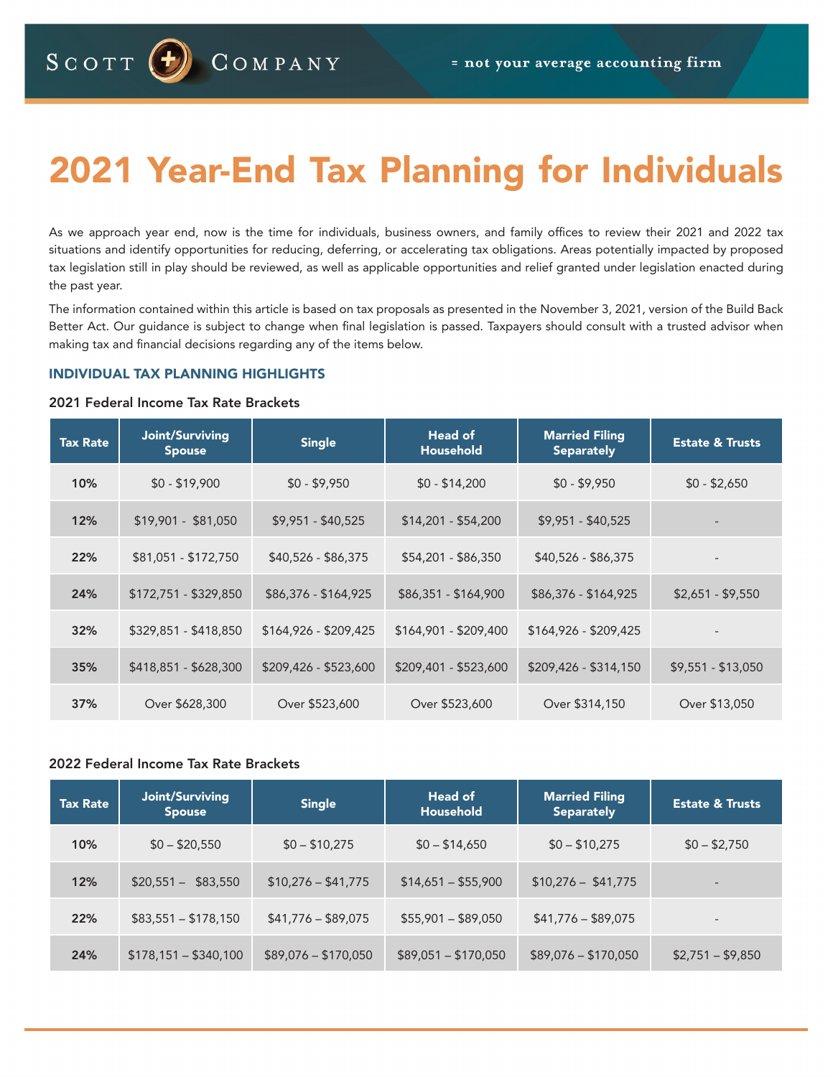# 2021 Year-End Tax Planning for Individuals

As we approach year end, now is the time for individuals, business owners, and family offices to review their 2021 and 2022 tax situations and identify opportunities for reducing, deferring, or accelerating tax obligations. Areas potentially impacted by proposed tax legislation still in play should be reviewed, as well as applicable opportunities and relief granted under legislation enacted during the past year.

The information contained within this article is based on tax proposals as presented in the November 3, 2021, version of the Build Back Better Act. Our guidance is subject to change when final legislation is passed. Taxpayers should consult with a trusted advisor when making tax and financial decisions regarding any of the items below.

# INDIVIDUAL TAX PLANNING HIGHLIGHTS

## 2021 Federal Income Tax Rate Brackets

| <b>Tax Rate</b> | Joint/Surviving<br><b>Spouse</b> | <b>Single</b>         | Head of<br><b>Household</b> | <b>Married Filing</b><br><b>Separately</b> | <b>Estate &amp; Trusts</b> |
|-----------------|----------------------------------|-----------------------|-----------------------------|--------------------------------------------|----------------------------|
| 10%             | $$0 - $19,900$                   | $$0 - $9,950$         | $$0 - $14,200$              | $$0 - $9,950$                              | $$0 - $2,650$              |
| 12%             | $$19,901 - $81,050$              | $$9,951 - $40,525$    | $$14,201 - $54,200$         | $$9,951 - $40,525$                         |                            |
| 22%             | $$81,051 - $172,750$             | $$40,526 - $86,375$   | \$54,201 - \$86,350         | $$40,526 - $86,375$                        |                            |
| 24%             | \$172,751 - \$329,850            | \$86,376 - \$164,925  | $$86,351 - $164,900$        | \$86,376 - \$164,925                       | $$2,651 - $9,550$          |
| 32%             | \$329,851 - \$418,850            | $$164,926 - $209,425$ | $$164,901 - $209,400$       | $$164,926 - $209,425$                      |                            |
| 35%             | \$418,851 - \$628,300            | $$209,426 - $523,600$ | \$209,401 - \$523,600       | $$209,426 - $314,150$                      | $$9,551 - $13,050$         |
| 37%             | Over \$628,300                   | Over \$523,600        | Over \$523,600              | Over \$314,150                             | Over \$13,050              |

# 2022 Federal Income Tax Rate Brackets

| <b>Tax Rate</b> | Joint/Surviving<br><b>Spouse</b> | <b>Single</b>        | Head of<br><b>Household</b> | <b>Married Filing</b><br><b>Separately</b> | <b>Estate &amp; Trusts</b> |
|-----------------|----------------------------------|----------------------|-----------------------------|--------------------------------------------|----------------------------|
| 10%             | $$0 - $20,550$                   | $$0 - $10,275$       | $$0 - $14,650$              | $$0 - $10,275$                             | $$0 - $2,750$              |
| 12%             | \$83,550<br>$$20,551-$           | $$10,276 - $41,775$  | $$14,651 - $55,900$         | $$10,276 - $41,775$                        | $\overline{\phantom{0}}$   |
| 22%             | $$83,551 - $178,150$             | $$41,776 - $89,075$  | $$55,901 - $89,050$         | $$41,776 - $89,075$                        | $\overline{\phantom{0}}$   |
| 24%             | $$178,151 - $340,100$            | $$89,076 - $170,050$ | $$89,051 - $170,050$        | $$89,076 - $170,050$                       | $$2,751 - $9,850$          |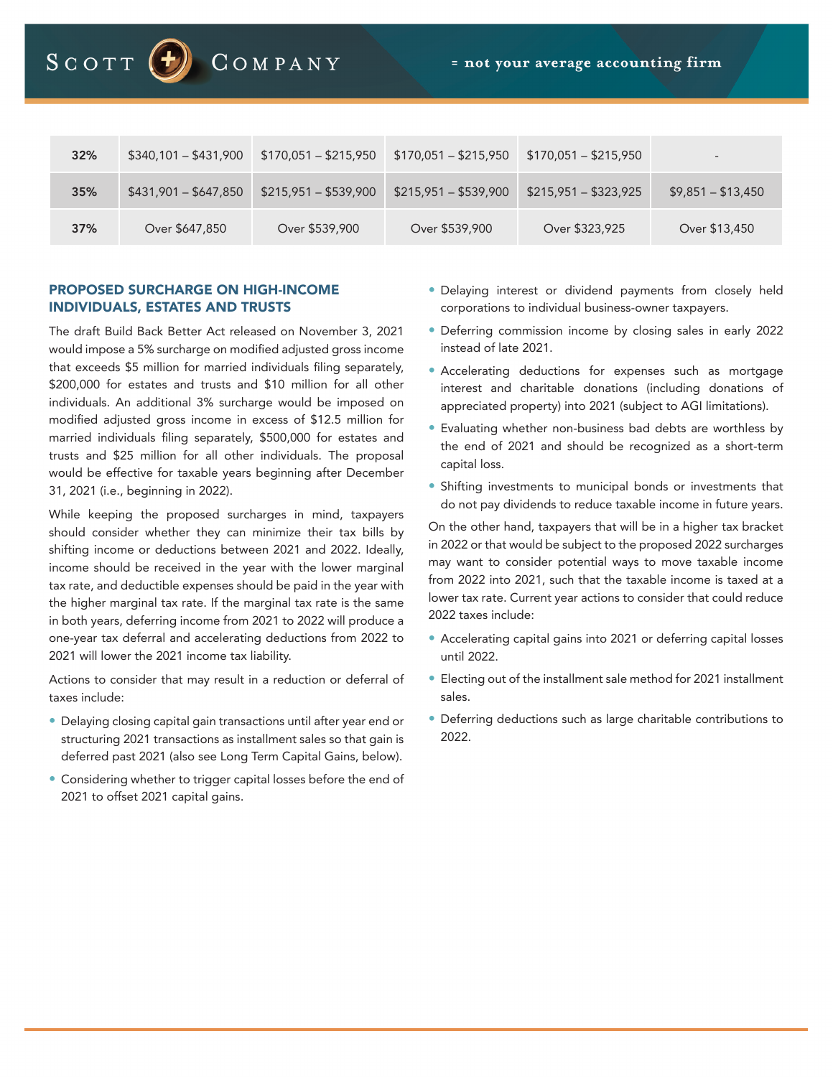

| 32% | $$340,101 - $431,900$ | $$170,051 - $215,950$ | $$170,051 - $215,950$ | $$170,051 - $215,950$ |                    |
|-----|-----------------------|-----------------------|-----------------------|-----------------------|--------------------|
| 35% | $$431,901 - $647,850$ | $$215,951 - $539,900$ | $$215,951 - $539,900$ | $$215,951 - $323,925$ | $$9,851 - $13,450$ |
| 37% | Over \$647,850        | Over \$539,900        | Over \$539,900        | Over \$323,925        | Over \$13,450      |

# PROPOSED SURCHARGE ON HIGH-INCOME INDIVIDUALS, ESTATES AND TRUSTS

The draft Build Back Better Act released on November 3, 2021 would impose a 5% surcharge on modified adjusted gross income that exceeds \$5 million for married individuals filing separately, \$200,000 for estates and trusts and \$10 million for all other individuals. An additional 3% surcharge would be imposed on modified adjusted gross income in excess of \$12.5 million for married individuals filing separately, \$500,000 for estates and trusts and \$25 million for all other individuals. The proposal would be effective for taxable years beginning after December 31, 2021 (i.e., beginning in 2022).

While keeping the proposed surcharges in mind, taxpayers should consider whether they can minimize their tax bills by shifting income or deductions between 2021 and 2022. Ideally, income should be received in the year with the lower marginal tax rate, and deductible expenses should be paid in the year with the higher marginal tax rate. If the marginal tax rate is the same in both years, deferring income from 2021 to 2022 will produce a one-year tax deferral and accelerating deductions from 2022 to 2021 will lower the 2021 income tax liability.

Actions to consider that may result in a reduction or deferral of taxes include:

- Delaying closing capital gain transactions until after year end or structuring 2021 transactions as installment sales so that gain is deferred past 2021 (also see Long Term Capital Gains, below).
- Considering whether to trigger capital losses before the end of 2021 to offset 2021 capital gains.
- Delaying interest or dividend payments from closely held corporations to individual business-owner taxpayers.
- Deferring commission income by closing sales in early 2022 instead of late 2021.
- Accelerating deductions for expenses such as mortgage interest and charitable donations (including donations of appreciated property) into 2021 (subject to AGI limitations).
- Evaluating whether non-business bad debts are worthless by the end of 2021 and should be recognized as a short-term capital loss.
- Shifting investments to municipal bonds or investments that do not pay dividends to reduce taxable income in future years.

On the other hand, taxpayers that will be in a higher tax bracket in 2022 or that would be subject to the proposed 2022 surcharges may want to consider potential ways to move taxable income from 2022 into 2021, such that the taxable income is taxed at a lower tax rate. Current year actions to consider that could reduce 2022 taxes include:

- Accelerating capital gains into 2021 or deferring capital losses until 2022.
- Electing out of the installment sale method for 2021 installment sales.
- Deferring deductions such as large charitable contributions to 2022.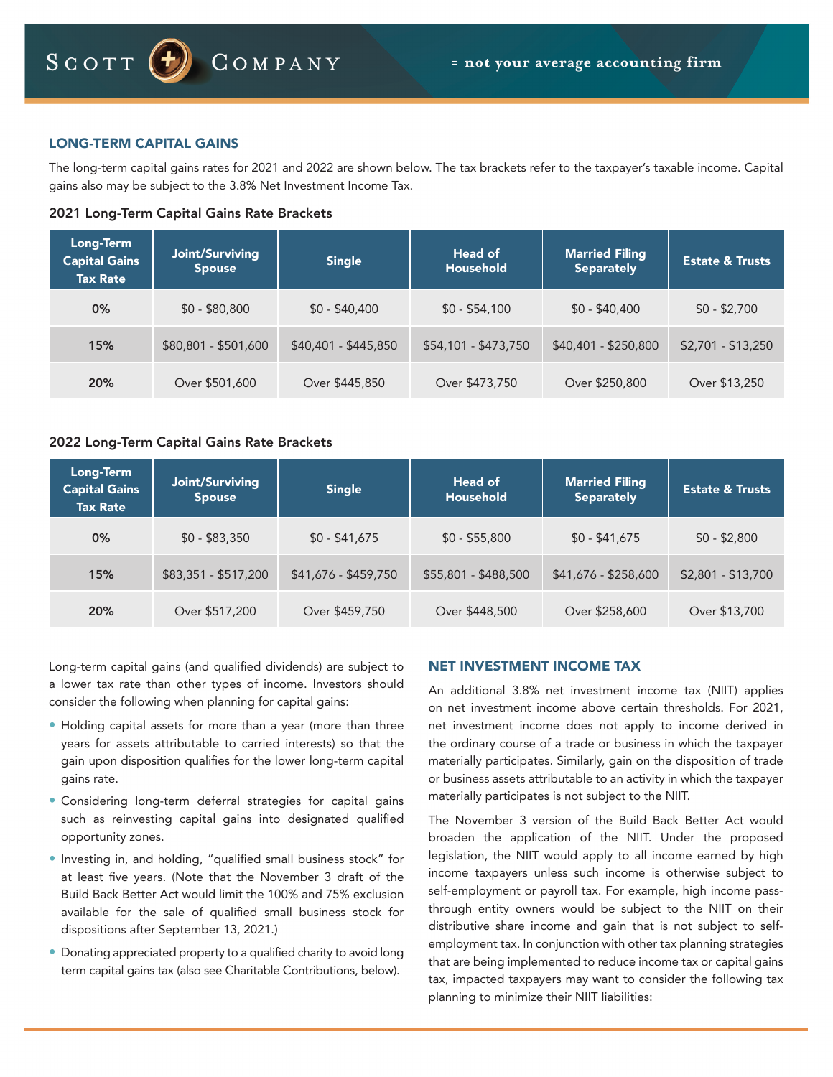# LONG-TERM CAPITAL GAINS

The long-term capital gains rates for 2021 and 2022 are shown below. The tax brackets refer to the taxpayer's taxable income. Capital gains also may be subject to the 3.8% Net Investment Income Tax.

## 2021 Long-Term Capital Gains Rate Brackets

| <b>Long-Term</b><br><b>Capital Gains</b><br><b>Tax Rate</b> | Joint/Surviving<br><b>Spouse</b> | <b>Single</b>        | Head of<br><b>Household</b> | <b>Married Filing</b><br><b>Separately</b> | <b>Estate &amp; Trusts</b> |
|-------------------------------------------------------------|----------------------------------|----------------------|-----------------------------|--------------------------------------------|----------------------------|
| 0%                                                          | $$0 - $80,800$                   | $$0 - $40,400$       | $$0 - $54,100$              | $$0 - $40,400$                             | $$0 - $2,700$              |
| 15%                                                         | \$80,801 - \$501,600             | $$40,401 - $445,850$ | \$54,101 - \$473,750        | \$40,401 - \$250,800                       | $$2,701 - $13,250$         |
| 20%                                                         | Over \$501,600                   | Over \$445,850       | Over \$473,750              | Over \$250,800                             | Over \$13,250              |

# 2022 Long-Term Capital Gains Rate Brackets

| Long-Term<br><b>Capital Gains</b><br><b>Tax Rate</b> | Joint/Surviving<br><b>Spouse</b> | <b>Single</b>        | Head of<br>Household | <b>Married Filing</b><br><b>Separately</b> | <b>Estate &amp; Trusts</b> |
|------------------------------------------------------|----------------------------------|----------------------|----------------------|--------------------------------------------|----------------------------|
| 0%                                                   | $$0 - $83,350$                   | $$0 - $41,675$       | $$0 - $55,800$       | $$0 - $41,675$                             | $$0 - $2,800$              |
| 15%                                                  | \$83,351 - \$517,200             | \$41,676 - \$459,750 | \$55,801 - \$488,500 | \$41,676 - \$258,600                       | $$2,801 - $13,700$         |
| 20%                                                  | Over \$517,200                   | Over \$459,750       | Over \$448,500       | Over \$258,600                             | Over \$13,700              |

Long-term capital gains (and qualified dividends) are subject to a lower tax rate than other types of income. Investors should consider the following when planning for capital gains:

- Holding capital assets for more than a year (more than three years for assets attributable to carried interests) so that the gain upon disposition qualifies for the lower long-term capital gains rate.
- Considering long-term deferral strategies for capital gains such as reinvesting capital gains into designated qualified opportunity zones.
- Investing in, and holding, "qualified small business stock" for at least five years. (Note that the November 3 draft of the Build Back Better Act would limit the 100% and 75% exclusion available for the sale of qualified small business stock for dispositions after September 13, 2021.)
- Donating appreciated property to a qualified charity to avoid long term capital gains tax (also see Charitable Contributions, below).

# NET INVESTMENT INCOME TAX

An additional 3.8% net investment income tax (NIIT) applies on net investment income above certain thresholds. For 2021, net investment income does not apply to income derived in the ordinary course of a trade or business in which the taxpayer materially participates. Similarly, gain on the disposition of trade or business assets attributable to an activity in which the taxpayer materially participates is not subject to the NIIT.

The November 3 version of the Build Back Better Act would broaden the application of the NIIT. Under the proposed legislation, the NIIT would apply to all income earned by high income taxpayers unless such income is otherwise subject to self-employment or payroll tax. For example, high income passthrough entity owners would be subject to the NIIT on their distributive share income and gain that is not subject to selfemployment tax. In conjunction with other tax planning strategies that are being implemented to reduce income tax or capital gains tax, impacted taxpayers may want to consider the following tax planning to minimize their NIIT liabilities: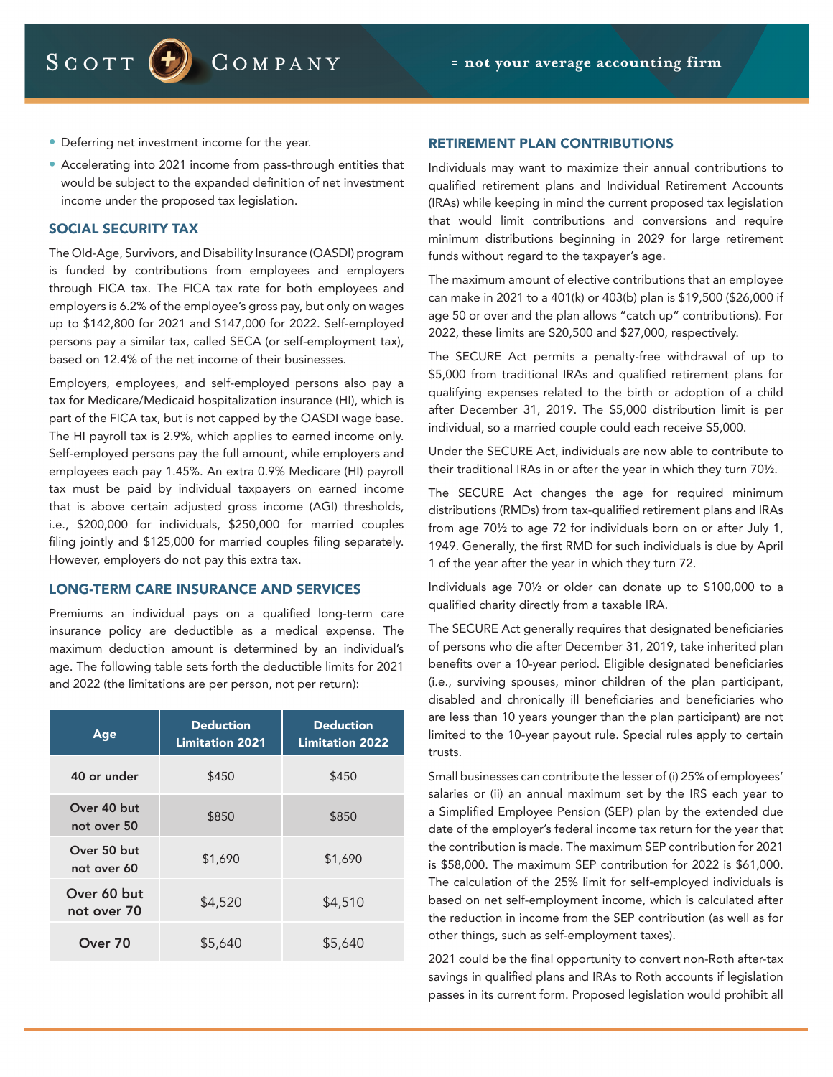COMPANY

- Deferring net investment income for the year.
- Accelerating into 2021 income from pass-through entities that would be subject to the expanded definition of net investment income under the proposed tax legislation.

## SOCIAL SECURITY TAX

The Old-Age, Survivors, and Disability Insurance (OASDI) program is funded by contributions from employees and employers through FICA tax. The FICA tax rate for both employees and employers is 6.2% of the employee's gross pay, but only on wages up to \$142,800 for 2021 and \$147,000 for 2022. Self-employed persons pay a similar tax, called SECA (or self-employment tax), based on 12.4% of the net income of their businesses.

Employers, employees, and self-employed persons also pay a tax for Medicare/Medicaid hospitalization insurance (HI), which is part of the FICA tax, but is not capped by the OASDI wage base. The HI payroll tax is 2.9%, which applies to earned income only. Self-employed persons pay the full amount, while employers and employees each pay 1.45%. An extra 0.9% Medicare (HI) payroll tax must be paid by individual taxpayers on earned income that is above certain adjusted gross income (AGI) thresholds, i.e., \$200,000 for individuals, \$250,000 for married couples filing jointly and \$125,000 for married couples filing separately. However, employers do not pay this extra tax.

#### LONG-TERM CARE INSURANCE AND SERVICES

Premiums an individual pays on a qualified long-term care insurance policy are deductible as a medical expense. The maximum deduction amount is determined by an individual's age. The following table sets forth the deductible limits for 2021 and 2022 (the limitations are per person, not per return):

| Age                        | <b>Deduction</b><br><b>Limitation 2021</b> | <b>Deduction</b><br><b>Limitation 2022</b> |  |
|----------------------------|--------------------------------------------|--------------------------------------------|--|
| 40 or under                | \$450                                      | \$450                                      |  |
| Over 40 but<br>not over 50 | \$850                                      | \$850                                      |  |
| Over 50 but<br>not over 60 | \$1,690                                    | \$1,690                                    |  |
| Over 60 but<br>not over 70 | \$4,520                                    | \$4,510                                    |  |
| Over 70                    | \$5,640                                    | \$5,640                                    |  |

#### RETIREMENT PLAN CONTRIBUTIONS

Individuals may want to maximize their annual contributions to qualified retirement plans and Individual Retirement Accounts (IRAs) while keeping in mind the current proposed tax legislation that would limit contributions and conversions and require minimum distributions beginning in 2029 for large retirement funds without regard to the taxpayer's age.

The maximum amount of elective contributions that an employee can make in 2021 to a 401(k) or 403(b) plan is \$19,500 (\$26,000 if age 50 or over and the plan allows "catch up" contributions). For 2022, these limits are \$20,500 and \$27,000, respectively.

The SECURE Act permits a penalty-free withdrawal of up to \$5,000 from traditional IRAs and qualified retirement plans for qualifying expenses related to the birth or adoption of a child after December 31, 2019. The \$5,000 distribution limit is per individual, so a married couple could each receive \$5,000.

Under the SECURE Act, individuals are now able to contribute to their traditional IRAs in or after the year in which they turn 70½.

The SECURE Act changes the age for required minimum distributions (RMDs) from tax-qualified retirement plans and IRAs from age 70½ to age 72 for individuals born on or after July 1, 1949. Generally, the first RMD for such individuals is due by April 1 of the year after the year in which they turn 72.

Individuals age 70½ or older can donate up to \$100,000 to a qualified charity directly from a taxable IRA.

The SECURE Act generally requires that designated beneficiaries of persons who die after December 31, 2019, take inherited plan benefits over a 10-year period. Eligible designated beneficiaries (i.e., surviving spouses, minor children of the plan participant, disabled and chronically ill beneficiaries and beneficiaries who are less than 10 years younger than the plan participant) are not limited to the 10-year payout rule. Special rules apply to certain trusts.

Small businesses can contribute the lesser of (i) 25% of employees' salaries or (ii) an annual maximum set by the IRS each year to a Simplified Employee Pension (SEP) plan by the extended due date of the employer's federal income tax return for the year that the contribution is made. The maximum SEP contribution for 2021 is \$58,000. The maximum SEP contribution for 2022 is \$61,000. The calculation of the 25% limit for self-employed individuals is based on net self-employment income, which is calculated after the reduction in income from the SEP contribution (as well as for other things, such as self-employment taxes).

2021 could be the final opportunity to convert non-Roth after-tax savings in qualified plans and IRAs to Roth accounts if legislation passes in its current form. Proposed legislation would prohibit all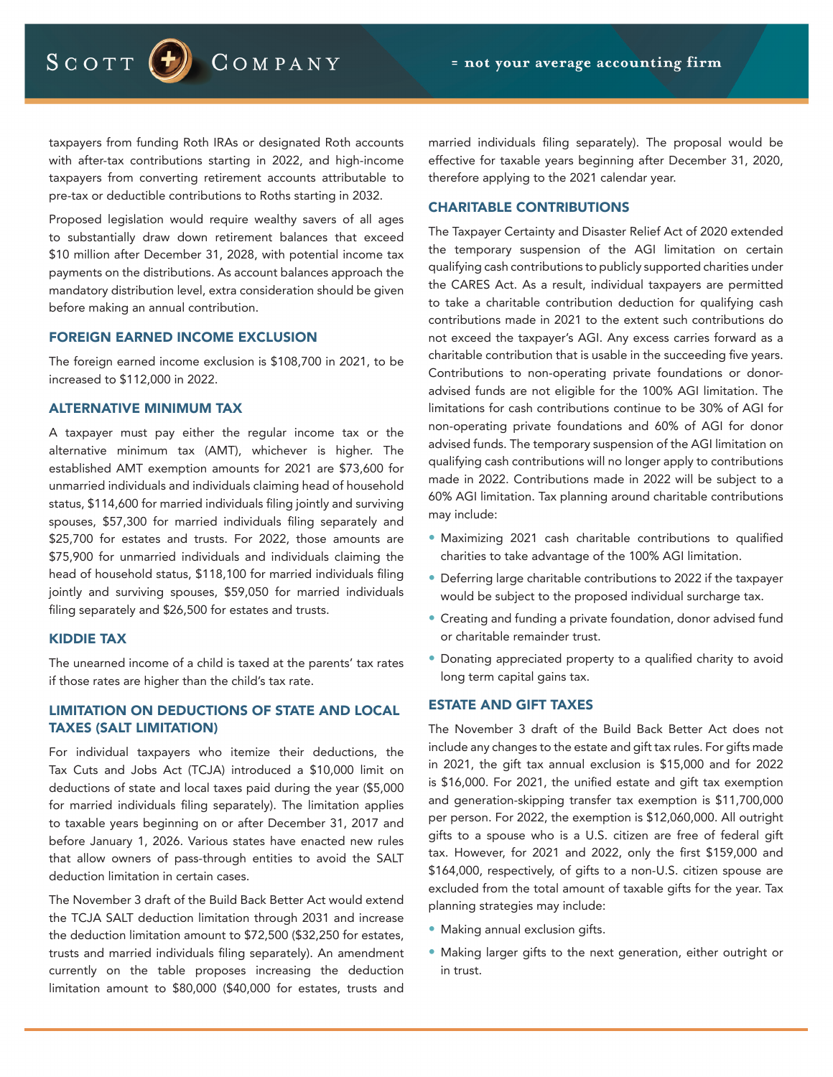SCOTT  $(-)$ 

COMPANY

taxpayers from funding Roth IRAs or designated Roth accounts with after-tax contributions starting in 2022, and high-income taxpayers from converting retirement accounts attributable to pre-tax or deductible contributions to Roths starting in 2032.

Proposed legislation would require wealthy savers of all ages to substantially draw down retirement balances that exceed \$10 million after December 31, 2028, with potential income tax payments on the distributions. As account balances approach the mandatory distribution level, extra consideration should be given before making an annual contribution.

## FOREIGN EARNED INCOME EXCLUSION

The foreign earned income exclusion is \$108,700 in 2021, to be increased to \$112,000 in 2022.

# ALTERNATIVE MINIMUM TAX

A taxpayer must pay either the regular income tax or the alternative minimum tax (AMT), whichever is higher. The established AMT exemption amounts for 2021 are \$73,600 for unmarried individuals and individuals claiming head of household status, \$114,600 for married individuals filing jointly and surviving spouses, \$57,300 for married individuals filing separately and \$25,700 for estates and trusts. For 2022, those amounts are \$75,900 for unmarried individuals and individuals claiming the head of household status, \$118,100 for married individuals filing jointly and surviving spouses, \$59,050 for married individuals filing separately and \$26,500 for estates and trusts.

#### KIDDIE TAX

The unearned income of a child is taxed at the parents' tax rates if those rates are higher than the child's tax rate.

# LIMITATION ON DEDUCTIONS OF STATE AND LOCAL TAXES (SALT LIMITATION)

For individual taxpayers who itemize their deductions, the Tax Cuts and Jobs Act (TCJA) introduced a \$10,000 limit on deductions of state and local taxes paid during the year (\$5,000 for married individuals filing separately). The limitation applies to taxable years beginning on or after December 31, 2017 and before January 1, 2026. Various states have enacted new rules that allow owners of pass-through entities to avoid the SALT deduction limitation in certain cases.

The November 3 draft of the Build Back Better Act would extend the TCJA SALT deduction limitation through 2031 and increase the deduction limitation amount to \$72,500 (\$32,250 for estates, trusts and married individuals filing separately). An amendment currently on the table proposes increasing the deduction limitation amount to \$80,000 (\$40,000 for estates, trusts and

married individuals filing separately). The proposal would be effective for taxable years beginning after December 31, 2020, therefore applying to the 2021 calendar year.

#### CHARITABLE CONTRIBUTIONS

The Taxpayer Certainty and Disaster Relief Act of 2020 extended the temporary suspension of the AGI limitation on certain qualifying cash contributions to publicly supported charities under the CARES Act. As a result, individual taxpayers are permitted to take a charitable contribution deduction for qualifying cash contributions made in 2021 to the extent such contributions do not exceed the taxpayer's AGI. Any excess carries forward as a charitable contribution that is usable in the succeeding five years. Contributions to non-operating private foundations or donoradvised funds are not eligible for the 100% AGI limitation. The limitations for cash contributions continue to be 30% of AGI for non-operating private foundations and 60% of AGI for donor advised funds. The temporary suspension of the AGI limitation on qualifying cash contributions will no longer apply to contributions made in 2022. Contributions made in 2022 will be subject to a 60% AGI limitation. Tax planning around charitable contributions may include:

- Maximizing 2021 cash charitable contributions to qualified charities to take advantage of the 100% AGI limitation.
- Deferring large charitable contributions to 2022 if the taxpayer would be subject to the proposed individual surcharge tax.
- Creating and funding a private foundation, donor advised fund or charitable remainder trust.
- Donating appreciated property to a qualified charity to avoid long term capital gains tax.

# ESTATE AND GIFT TAXES

The November 3 draft of the Build Back Better Act does not include any changes to the estate and gift tax rules. For gifts made in 2021, the gift tax annual exclusion is \$15,000 and for 2022 is \$16,000. For 2021, the unified estate and gift tax exemption and generation-skipping transfer tax exemption is \$11,700,000 per person. For 2022, the exemption is \$12,060,000. All outright gifts to a spouse who is a U.S. citizen are free of federal gift tax. However, for 2021 and 2022, only the first \$159,000 and \$164,000, respectively, of gifts to a non-U.S. citizen spouse are excluded from the total amount of taxable gifts for the year. Tax planning strategies may include:

- Making annual exclusion gifts.
- Making larger gifts to the next generation, either outright or in trust.